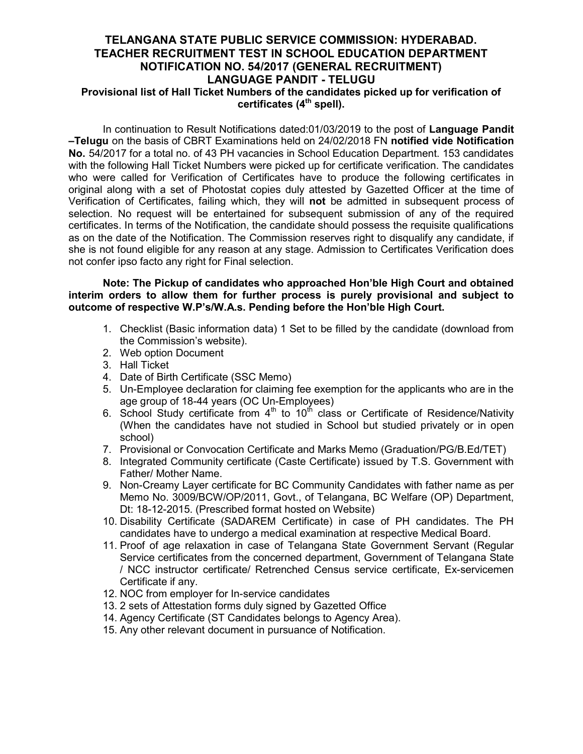## TELANGANA STATE PUBLIC SERVICE COMMISSION: HYDERABAD. TEACHER RECRUITMENT TEST IN SCHOOL EDUCATION DEPARTMENT NOTIFICATION NO. 54/2017 (GENERAL RECRUITMENT) LANGUAGE PANDIT - TELUGU Provisional list of Hall Ticket Numbers of the candidates picked up for verification of certificates  $(4<sup>th</sup>$  spell).

In continuation to Result Notifications dated:01/03/2019 to the post of Language Pandit –Telugu on the basis of CBRT Examinations held on 24/02/2018 FN notified vide Notification No. 54/2017 for a total no. of 43 PH vacancies in School Education Department. 153 candidates with the following Hall Ticket Numbers were picked up for certificate verification. The candidates who were called for Verification of Certificates have to produce the following certificates in original along with a set of Photostat copies duly attested by Gazetted Officer at the time of Verification of Certificates, failing which, they will not be admitted in subsequent process of selection. No request will be entertained for subsequent submission of any of the required certificates. In terms of the Notification, the candidate should possess the requisite qualifications as on the date of the Notification. The Commission reserves right to disqualify any candidate, if she is not found eligible for any reason at any stage. Admission to Certificates Verification does not confer ipso facto any right for Final selection.

#### Note: The Pickup of candidates who approached Hon'ble High Court and obtained interim orders to allow them for further process is purely provisional and subject to outcome of respective W.P's/W.A.s. Pending before the Hon'ble High Court.

- 1. Checklist (Basic information data) 1 Set to be filled by the candidate (download from the Commission's website).
- 2. Web option Document
- 3. Hall Ticket
- 4. Date of Birth Certificate (SSC Memo)
- 5. Un-Employee declaration for claiming fee exemption for the applicants who are in the age group of 18-44 years (OC Un-Employees)
- 6. School Study certificate from  $4<sup>th</sup>$  to  $10<sup>th</sup>$  class or Certificate of Residence/Nativity (When the candidates have not studied in School but studied privately or in open school)
- 7. Provisional or Convocation Certificate and Marks Memo (Graduation/PG/B.Ed/TET)
- 8. Integrated Community certificate (Caste Certificate) issued by T.S. Government with Father/ Mother Name.
- 9. Non-Creamy Layer certificate for BC Community Candidates with father name as per Memo No. 3009/BCW/OP/2011, Govt., of Telangana, BC Welfare (OP) Department, Dt: 18-12-2015. (Prescribed format hosted on Website)
- 10. Disability Certificate (SADAREM Certificate) in case of PH candidates. The PH candidates have to undergo a medical examination at respective Medical Board.
- 11. Proof of age relaxation in case of Telangana State Government Servant (Regular Service certificates from the concerned department, Government of Telangana State / NCC instructor certificate/ Retrenched Census service certificate, Ex-servicemen Certificate if any.
- 12. NOC from employer for In-service candidates
- 13. 2 sets of Attestation forms duly signed by Gazetted Office
- 14. Agency Certificate (ST Candidates belongs to Agency Area).
- 15. Any other relevant document in pursuance of Notification.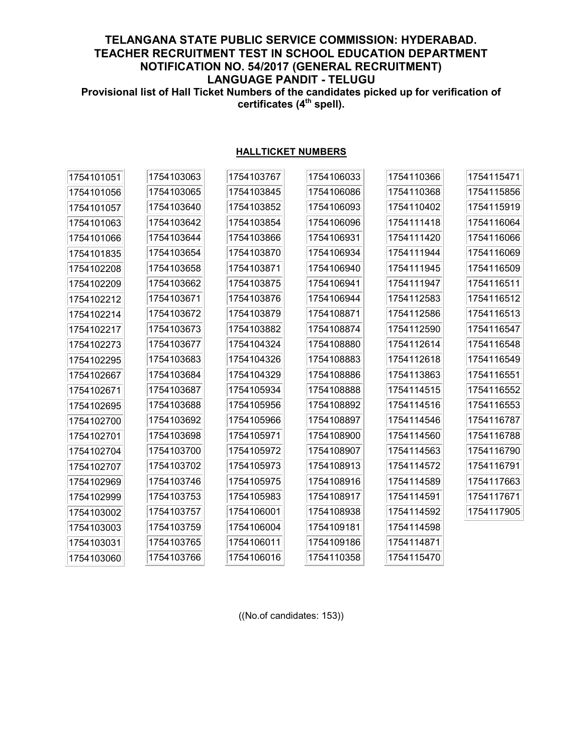# TELANGANA STATE PUBLIC SERVICE COMMISSION: HYDERABAD. TEACHER RECRUITMENT TEST IN SCHOOL EDUCATION DEPARTMENT NOTIFICATION NO. 54/2017 (GENERAL RECRUITMENT) LANGUAGE PANDIT - TELUGU Provisional list of Hall Ticket Numbers of the candidates picked up for verification of

certificates (4<sup>th</sup> spell).

## HALLTICKET NUMBERS

| 1754101051 | 1754103063 | 1754103767 | 1754106033 | 1754110366 | 1754115471 |
|------------|------------|------------|------------|------------|------------|
| 1754101056 | 1754103065 | 1754103845 | 1754106086 | 1754110368 | 1754115856 |
| 1754101057 | 1754103640 | 1754103852 | 1754106093 | 1754110402 | 1754115919 |
| 1754101063 | 1754103642 | 1754103854 | 1754106096 | 1754111418 | 1754116064 |
| 1754101066 | 1754103644 | 1754103866 | 1754106931 | 1754111420 | 1754116066 |
| 1754101835 | 1754103654 | 1754103870 | 1754106934 | 1754111944 | 1754116069 |
| 1754102208 | 1754103658 | 1754103871 | 1754106940 | 1754111945 | 1754116509 |
| 1754102209 | 1754103662 | 1754103875 | 1754106941 | 1754111947 | 1754116511 |
| 1754102212 | 1754103671 | 1754103876 | 1754106944 | 1754112583 | 1754116512 |
| 1754102214 | 1754103672 | 1754103879 | 1754108871 | 1754112586 | 1754116513 |
| 1754102217 | 1754103673 | 1754103882 | 1754108874 | 1754112590 | 1754116547 |
| 1754102273 | 1754103677 | 1754104324 | 1754108880 | 1754112614 | 1754116548 |
| 1754102295 | 1754103683 | 1754104326 | 1754108883 | 1754112618 | 1754116549 |
| 1754102667 | 1754103684 | 1754104329 | 1754108886 | 1754113863 | 1754116551 |
| 1754102671 | 1754103687 | 1754105934 | 1754108888 | 1754114515 | 1754116552 |
| 1754102695 | 1754103688 | 1754105956 | 1754108892 | 1754114516 | 1754116553 |
| 1754102700 | 1754103692 | 1754105966 | 1754108897 | 1754114546 | 1754116787 |
| 1754102701 | 1754103698 | 1754105971 | 1754108900 | 1754114560 | 1754116788 |
| 1754102704 | 1754103700 | 1754105972 | 1754108907 | 1754114563 | 1754116790 |
| 1754102707 | 1754103702 | 1754105973 | 1754108913 | 1754114572 | 1754116791 |
| 1754102969 | 1754103746 | 1754105975 | 1754108916 | 1754114589 | 1754117663 |
| 1754102999 | 1754103753 | 1754105983 | 1754108917 | 1754114591 | 1754117671 |
| 1754103002 | 1754103757 | 1754106001 | 1754108938 | 1754114592 | 1754117905 |
| 1754103003 | 1754103759 | 1754106004 | 1754109181 | 1754114598 |            |
| 1754103031 | 1754103765 | 1754106011 | 1754109186 | 1754114871 |            |
| 1754103060 | 1754103766 | 1754106016 | 1754110358 | 1754115470 |            |

((No.of candidates: 153))